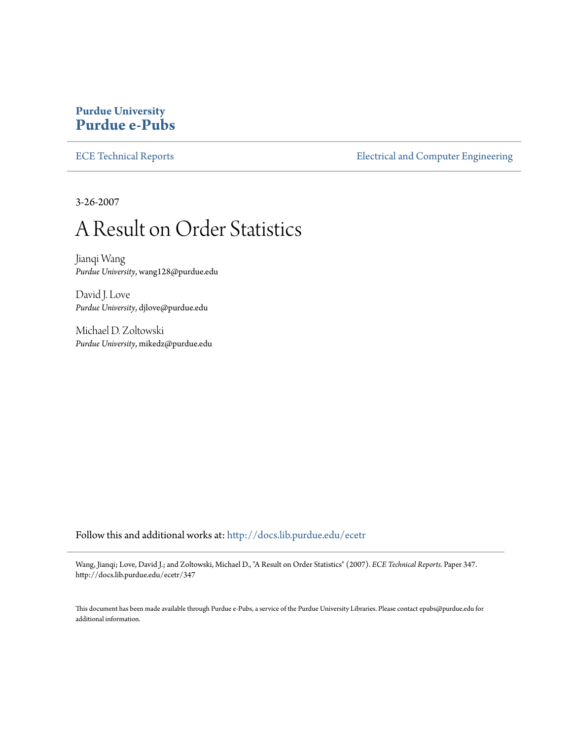## **Purdue University [Purdue e-Pubs](http://docs.lib.purdue.edu?utm_source=docs.lib.purdue.edu%2Fecetr%2F347&utm_medium=PDF&utm_campaign=PDFCoverPages)**

[ECE Technical Reports](http://docs.lib.purdue.edu/ecetr?utm_source=docs.lib.purdue.edu%2Fecetr%2F347&utm_medium=PDF&utm_campaign=PDFCoverPages) **ELECTE ELECTE ENGINEER** ELECTECIA and Computer Engineering

3-26-2007

## A Result on Order Statistics

Jianqi Wang *Purdue University*, wang128@purdue.edu

David J. Love *Purdue University*, djlove@purdue.edu

Michael D. Zoltowski *Purdue University*, mikedz@purdue.edu

Follow this and additional works at: [http://docs.lib.purdue.edu/ecetr](http://docs.lib.purdue.edu/ecetr?utm_source=docs.lib.purdue.edu%2Fecetr%2F347&utm_medium=PDF&utm_campaign=PDFCoverPages)

Wang, Jianqi; Love, David J.; and Zoltowski, Michael D., "A Result on Order Statistics" (2007). *ECE Technical Reports.* Paper 347. http://docs.lib.purdue.edu/ecetr/347

This document has been made available through Purdue e-Pubs, a service of the Purdue University Libraries. Please contact epubs@purdue.edu for additional information.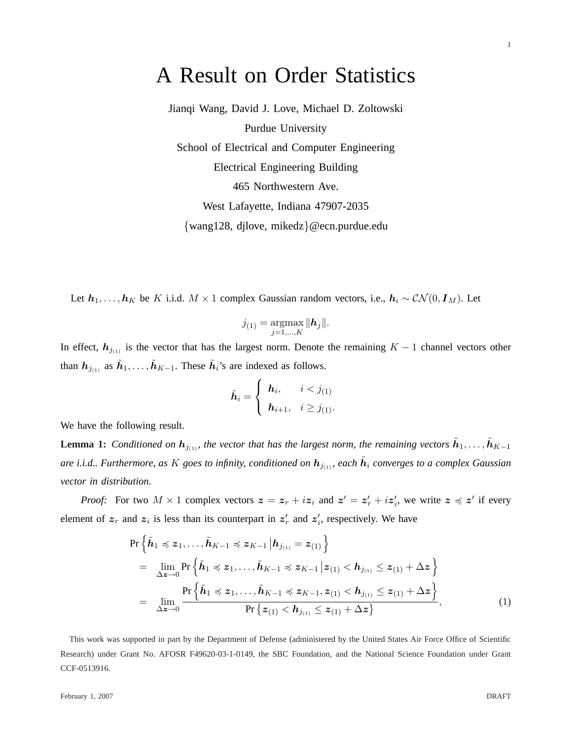## A Result on Order Statistics

Jianqi Wang, David J. Love, Michael D. Zoltowski Purdue University School of Electrical and Computer Engineering Electrical Engineering Building 465 Northwestern Ave. West Lafayette, Indiana 47907-2035 {wang128, djlove, mikedz}@ecn.purdue.edu

Let  $h_1, \ldots, h_K$  be K i.i.d.  $M \times 1$  complex Gaussian random vectors, i.e.,  $h_i \sim \mathcal{CN}(0, I_M)$ . Let

$$
j_{(1)} = \operatorname*{argmax}_{j=1,\ldots,K} \|\mathbf{h}_j\|.
$$

In effect,  $h_{j(1)}$  is the vector that has the largest norm. Denote the remaining  $K - 1$  channel vectors other than  $h_{j_{(1)}}$  as  $\tilde{h}_1, \ldots, \tilde{h}_{K-1}$ . These  $\tilde{h}_i$ 's are indexed as follows.

$$
\tilde{\boldsymbol{h}}_i = \begin{cases} \boldsymbol{h}_i, & i < j_{(1)} \\ \boldsymbol{h}_{i+1}, & i \geq j_{(1)}. \end{cases}
$$

We have the following result.

**Lemma 1:** *Conditioned on*  $h_{j(1)}$ , the vector that has the largest norm, the remaining vectors  $\tilde{h}_1, \ldots, \tilde{h}_{K-1}$ are i.i.d.. Furthermore, as  $K$  goes to infinity, conditioned on  $h_{j_{(1)}}$ , each  $\tilde{h}_i$  converges to a complex Gaussian *vector in distribution.*

*Proof:* For two  $M \times 1$  complex vectors  $z = z_r + iz_i$  and  $z' = z'_r + iz'_i$ , we write  $z \preccurlyeq z'$  if every element of  $z_r$  and  $z_i$  is less than its counterpart in  $z'_r$  and  $z'_i$ , respectively. We have

$$
\Pr\left\{\tilde{h}_{1} \preccurlyeq z_{1}, \ldots, \tilde{h}_{K-1} \preccurlyeq z_{K-1} | h_{j_{(1)}} = z_{(1)}\right\}
$$
\n
$$
= \lim_{\Delta z \to 0} \Pr\left\{\tilde{h}_{1} \preccurlyeq z_{1}, \ldots, \tilde{h}_{K-1} \preccurlyeq z_{K-1} | z_{(1)} < h_{j_{(1)}} \leq z_{(1)} + \Delta z\right\}
$$
\n
$$
= \lim_{\Delta z \to 0} \frac{\Pr\left\{\tilde{h}_{1} \preccurlyeq z_{1}, \ldots, \tilde{h}_{K-1} \preccurlyeq z_{K-1}, z_{(1)} < h_{j_{(1)}} \leq z_{(1)} + \Delta z\right\}}{\Pr\left\{z_{(1)} < h_{j_{(1)}} \leq z_{(1)} + \Delta z\right\}},\tag{1}
$$

This work was supported in part by the Department of Defense (administered by the United States Air Force Office of Scientific Research) under Grant No. AFOSR F49620-03-1-0149, the SBC Foundation, and the National Science Foundation under Grant CCF-0513916.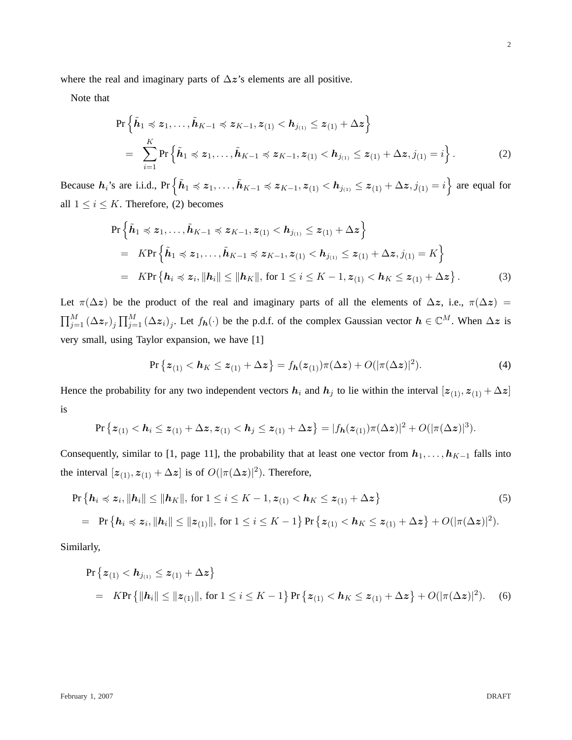where the real and imaginary parts of  $\Delta z$ 's elements are all positive.

Note that

$$
\Pr\left\{\tilde{h}_{1} \preccurlyeq z_{1}, \ldots, \tilde{h}_{K-1} \preccurlyeq z_{K-1}, z_{(1)} < h_{j_{(1)}} \leq z_{(1)} + \Delta z\right\}
$$
\n
$$
= \sum_{i=1}^{K} \Pr\left\{\tilde{h}_{1} \preccurlyeq z_{1}, \ldots, \tilde{h}_{K-1} \preccurlyeq z_{K-1}, z_{(1)} < h_{j_{(1)}} \leq z_{(1)} + \Delta z, j_{(1)} = i\right\}.
$$
\n(2)

Because  $h_i$ 's are i.i.d., Pr $\{\tilde{h}_1 \preccurlyeq z_1, \ldots, \tilde{h}_{K-1} \preccurlyeq z_{K-1}, z_{(1)} < h_{j_{(1)}} \leq z_{(1)} + \Delta z, j_{(1)} = i\}$ are equal for all  $1 \leq i \leq K$ . Therefore, (2) becomes

$$
\Pr\left\{\tilde{h}_{1} \preccurlyeq z_{1}, \ldots, \tilde{h}_{K-1} \preccurlyeq z_{K-1}, z_{(1)} < h_{j_{(1)}} \leq z_{(1)} + \Delta z\right\}
$$
\n
$$
= K \Pr\left\{\tilde{h}_{1} \preccurlyeq z_{1}, \ldots, \tilde{h}_{K-1} \preccurlyeq z_{K-1}, z_{(1)} < h_{j_{(1)}} \leq z_{(1)} + \Delta z, j_{(1)} = K\right\}
$$
\n
$$
= K \Pr\left\{h_{i} \preccurlyeq z_{i}, \|h_{i}\| \leq \|h_{K}\|, \text{ for } 1 \leq i \leq K-1, z_{(1)} < h_{K} \leq z_{(1)} + \Delta z\right\}.
$$
\n(3)

Let  $\pi(\Delta z)$  be the product of the real and imaginary parts of all the elements of  $\Delta z$ , i.e.,  $\pi(\Delta z)$  =  $\Box^M$  $_{j=1}^{M}\left( \Delta z_{r}\right) _{j}$  $\Box^M$  $_{j=1}^{M}(\Delta z_{i})_{j}$ . Let  $f_{h}(\cdot)$  be the p.d.f. of the complex Gaussian vector  $h \in \mathbb{C}^{M}$ . When  $\Delta z$  is very small, using Taylor expansion, we have [1]

$$
\Pr\left\{ \boldsymbol{z}_{(1)} < \boldsymbol{h}_{K} \leq \boldsymbol{z}_{(1)} + \Delta \boldsymbol{z} \right\} = f_{\boldsymbol{h}}(\boldsymbol{z}_{(1)}) \pi(\Delta \boldsymbol{z}) + O(|\pi(\Delta \boldsymbol{z})|^2). \tag{4}
$$

Hence the probability for any two independent vectors  $h_i$  and  $h_j$  to lie within the interval  $[z_{(1)}, z_{(1)} + \Delta z]$ is

$$
\Pr\big\{ \boldsymbol{z}_{(1)} < \boldsymbol{h}_i \leq \boldsymbol{z}_{(1)} + \Delta \boldsymbol{z}, \boldsymbol{z}_{(1)} < \boldsymbol{h}_j \leq \boldsymbol{z}_{(1)} + \Delta \boldsymbol{z} \big\} = |f_{\boldsymbol{h}}(\boldsymbol{z}_{(1)}) \pi(\Delta \boldsymbol{z})|^2 + O(|\pi(\Delta \boldsymbol{z})|^3).
$$

Consequently, similar to [1, page 11], the probability that at least one vector from  $h_1, \ldots, h_{K-1}$  falls into the interval  $[z_{(1)}, z_{(1)} + \Delta z]$  is of  $O(|\pi(\Delta z)|^2)$ . Therefore,

$$
\Pr\left\{\mathbf{h}_{i} \preccurlyeq z_{i}, \|\mathbf{h}_{i}\| \leq \|\mathbf{h}_{K}\|, \text{ for } 1 \leq i \leq K-1, z_{(1)} < \mathbf{h}_{K} \leq z_{(1)} + \Delta z\right\}
$$
\n
$$
= \Pr\left\{\mathbf{h}_{i} \preccurlyeq z_{i}, \|\mathbf{h}_{i}\| \leq \|\mathbf{z}_{(1)}\|, \text{ for } 1 \leq i \leq K-1\right\} \Pr\left\{z_{(1)} < \mathbf{h}_{K} \leq z_{(1)} + \Delta z\right\} + O(|\pi(\Delta z)|^{2}).
$$
\n(5)

Similarly,

$$
\Pr\left\{z_{(1)} < h_{j_{(1)}} \leq z_{(1)} + \Delta z\right\}
$$
\n
$$
= K \Pr\left\{\|h_i\| \leq \|z_{(1)}\|, \text{ for } 1 \leq i \leq K - 1\right\} \Pr\left\{z_{(1)} < h_K \leq z_{(1)} + \Delta z\right\} + O(|\pi(\Delta z)|^2). \tag{6}
$$